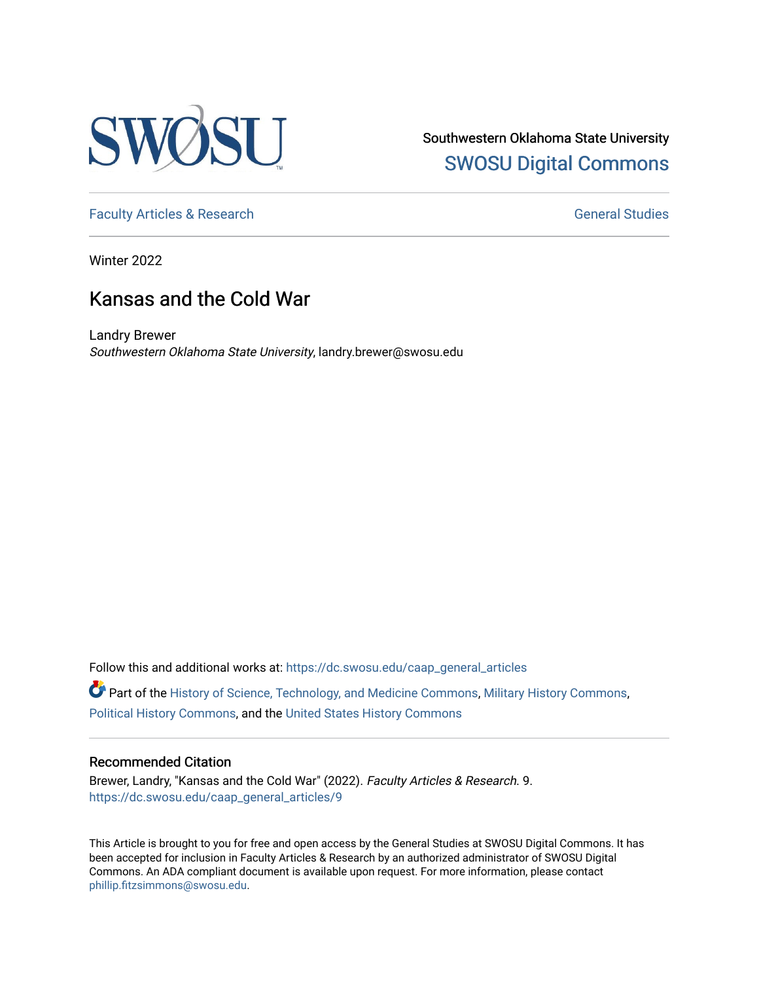

Southwestern Oklahoma State University [SWOSU Digital Commons](https://dc.swosu.edu/) 

[Faculty Articles & Research](https://dc.swosu.edu/caap_general_articles) [General Studies](https://dc.swosu.edu/general) and General Studies

Winter 2022

### Kansas and the Cold War

Landry Brewer Southwestern Oklahoma State University, landry.brewer@swosu.edu

Follow this and additional works at: [https://dc.swosu.edu/caap\\_general\\_articles](https://dc.swosu.edu/caap_general_articles?utm_source=dc.swosu.edu%2Fcaap_general_articles%2F9&utm_medium=PDF&utm_campaign=PDFCoverPages)

Part of the [History of Science, Technology, and Medicine Commons,](http://network.bepress.com/hgg/discipline/500?utm_source=dc.swosu.edu%2Fcaap_general_articles%2F9&utm_medium=PDF&utm_campaign=PDFCoverPages) [Military History Commons](http://network.bepress.com/hgg/discipline/504?utm_source=dc.swosu.edu%2Fcaap_general_articles%2F9&utm_medium=PDF&utm_campaign=PDFCoverPages), [Political History Commons](http://network.bepress.com/hgg/discipline/505?utm_source=dc.swosu.edu%2Fcaap_general_articles%2F9&utm_medium=PDF&utm_campaign=PDFCoverPages), and the [United States History Commons](http://network.bepress.com/hgg/discipline/495?utm_source=dc.swosu.edu%2Fcaap_general_articles%2F9&utm_medium=PDF&utm_campaign=PDFCoverPages) 

#### Recommended Citation

Brewer, Landry, "Kansas and the Cold War" (2022). Faculty Articles & Research. 9. [https://dc.swosu.edu/caap\\_general\\_articles/9](https://dc.swosu.edu/caap_general_articles/9?utm_source=dc.swosu.edu%2Fcaap_general_articles%2F9&utm_medium=PDF&utm_campaign=PDFCoverPages)

This Article is brought to you for free and open access by the General Studies at SWOSU Digital Commons. It has been accepted for inclusion in Faculty Articles & Research by an authorized administrator of SWOSU Digital Commons. An ADA compliant document is available upon request. For more information, please contact [phillip.fitzsimmons@swosu.edu](mailto:phillip.fitzsimmons@swosu.edu).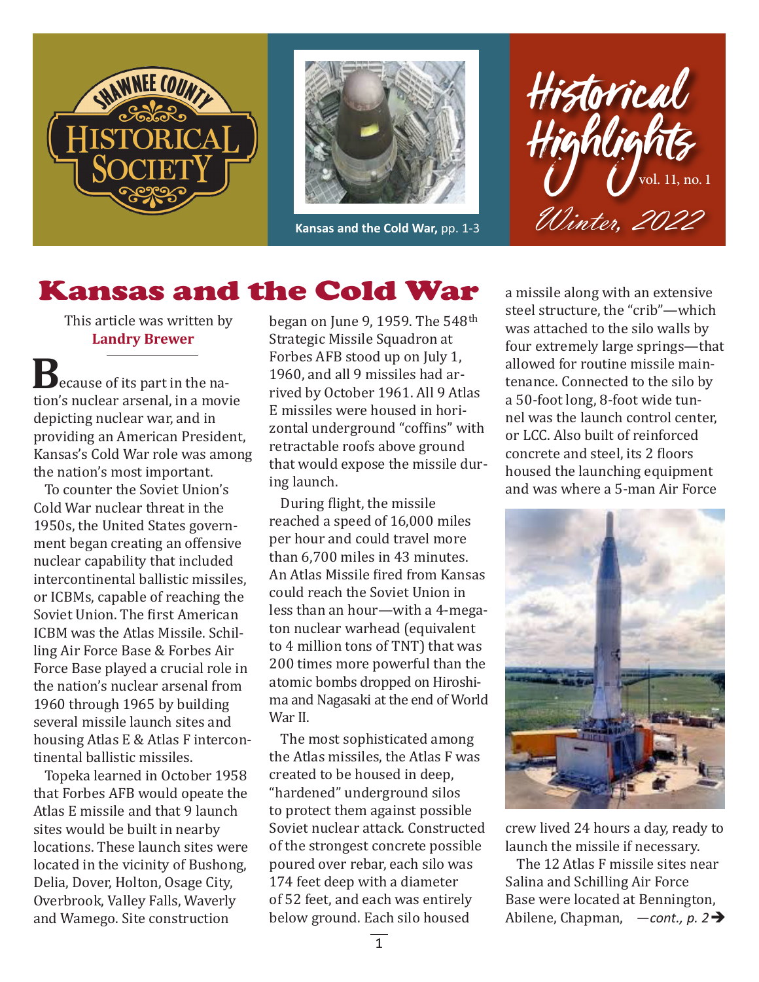



**Kansas and the Cold War,** pp. 1-3



# Kansas and the Cold War

This article was written by **Landry Brewer**

**B** ecause of its part in the nation's nuclear arsenal, in a movie depicting nuclear war, and in providing an American President, Kansas's Cold War role was among the nation's most important.

To counter the Soviet Union's Cold War nuclear threat in the 1950s, the United States government began creating an offensive nuclear capability that included intercontinental ballistic missiles, or ICBMs, capable of reaching the Soviet Union. The first American ICBM was the Atlas Missile. Schilling Air Force Base & Forbes Air Force Base played a crucial role in the nation's nuclear arsenal from 1960 through 1965 by building several missile launch sites and housing Atlas E & Atlas F intercontinental ballistic missiles.

Topeka learned in October 1958 that Forbes AFB would opeate the Atlas E missile and that 9 launch sites would be built in nearby locations. These launch sites were located in the vicinity of Bushong, Delia, Dover, Holton, Osage City, Overbrook, Valley Falls, Waverly and Wamego. Site construction

began on June 9, 1959. The 548th Strategic Missile Squadron at Forbes AFB stood up on July 1, 1960, and all 9 missiles had arrived by October 1961. All 9 Atlas E missiles were housed in horizontal underground "coffins" with retractable roofs above ground that would expose the missile during launch.

During flight, the missile reached a speed of 16,000 miles per hour and could travel more than 6,700 miles in 43 minutes. An Atlas Missile fired from Kansas could reach the Soviet Union in less than an hour—with a 4-megaton nuclear warhead (equivalent to 4 million tons of TNT) that was 200 times more powerful than the atomic bombs dropped on Hiroshima and Nagasaki at the end of World War II.

The most sophisticated among the Atlas missiles, the Atlas F was created to be housed in deep, "hardened" underground silos to protect them against possible Soviet nuclear attack. Constructed of the strongest concrete possible poured over rebar, each silo was 174 feet deep with a diameter of 52 feet, and each was entirely below ground. Each silo housed

a missile along with an extensive steel structure, the "crib"—which was attached to the silo walls by four extremely large springs—that allowed for routine missile maintenance. Connected to the silo by a 50-foot long, 8-foot wide tunnel was the launch control center, or LCC. Also built of reinforced concrete and steel, its 2 floors housed the launching equipment and was where a 5-man Air Force



crew lived 24 hours a day, ready to launch the missile if necessary.

Abilene, Chapman, *−cont., p.* 2→ The 12 Atlas F missile sites near Salina and Schilling Air Force Base were located at Bennington,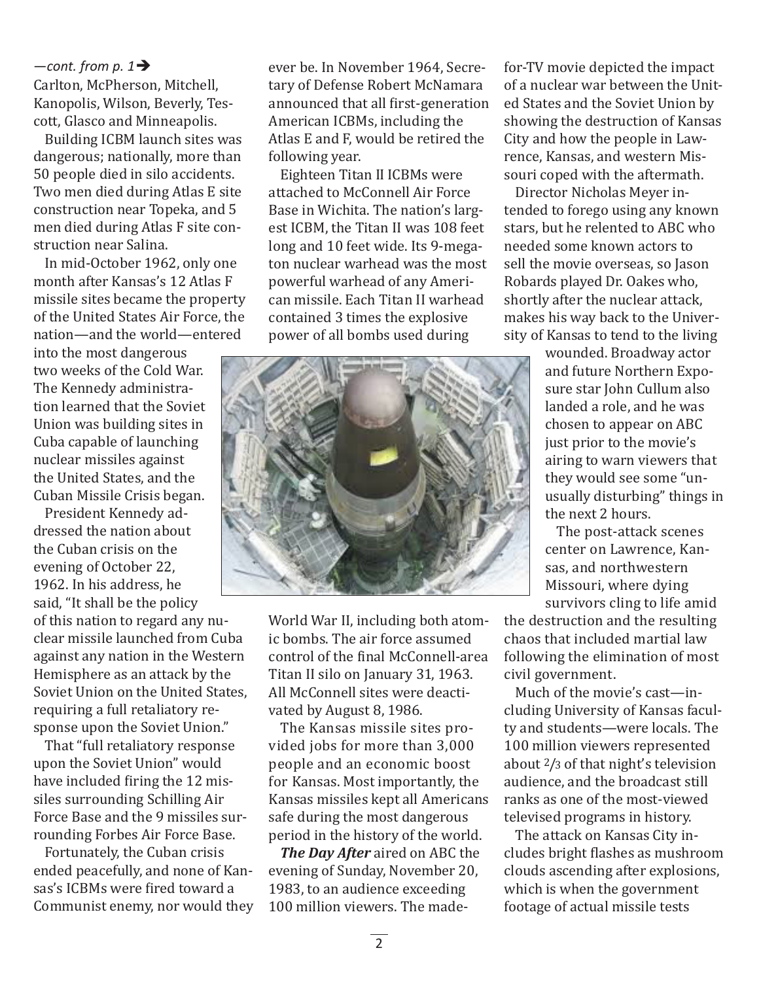Carlton, McPherson, Mitchell, Kanopolis, Wilson, Beverly, Tescott, Glasco and Minneapolis.  $-$ *cont.* from p. 1 $\rightarrow$ 

Building ICBM launch sites was dangerous; nationally, more than 50 people died in silo accidents. Two men died during Atlas E site construction near Topeka, and 5 men died during Atlas F site construction near Salina.

In mid-October 1962, only one month after Kansas's 12 Atlas F missile sites became the property of the United States Air Force, the nation—and the world—entered

into the most dangerous two weeks of the Cold War. The Kennedy administration learned that the Soviet Union was building sites in Cuba capable of launching nuclear missiles against the United States, and the Cuban Missile Crisis began.

President Kennedy addressed the nation about the Cuban crisis on the evening of October 22, 1962. In his address, he said, "It shall be the policy of this nation to regard any nuclear missile launched from Cuba against any nation in the Western Hemisphere as an attack by the Soviet Union on the United States, requiring a full retaliatory response upon the Soviet Union."

That "full retaliatory response upon the Soviet Union" would have included firing the 12 missiles surrounding Schilling Air Force Base and the 9 missiles surrounding Forbes Air Force Base.

Fortunately, the Cuban crisis ended peacefully, and none of Kansas's ICBMs were fired toward a Communist enemy, nor would they ever be. In November 1964, Secretary of Defense Robert McNamara announced that all first-generation American ICBMs, including the Atlas E and F, would be retired the following year.

Eighteen Titan II ICBMs were attached to McConnell Air Force Base in Wichita. The nation's largest ICBM, the Titan II was 108 feet long and 10 feet wide. Its 9-megaton nuclear warhead was the most powerful warhead of any American missile. Each Titan II warhead contained 3 times the explosive power of all bombs used during



World War II, including both atomic bombs. The air force assumed control of the final McConnell-area Titan II silo on January 31, 1963. All McConnell sites were deactivated by August 8, 1986.

The Kansas missile sites provided jobs for more than 3,000 people and an economic boost for Kansas. Most importantly, the Kansas missiles kept all Americans safe during the most dangerous period in the history of the world.

*The Day After* aired on ABC the evening of Sunday, November 20, 1983, to an audience exceeding 100 million viewers. The madefor-TV movie depicted the impact of a nuclear war between the United States and the Soviet Union by showing the destruction of Kansas City and how the people in Lawrence, Kansas, and western Missouri coped with the aftermath.

Director Nicholas Meyer intended to forego using any known stars, but he relented to ABC who needed some known actors to sell the movie overseas, so Jason Robards played Dr. Oakes who, shortly after the nuclear attack, makes his way back to the University of Kansas to tend to the living

> wounded. Broadway actor and future Northern Exposure star John Cullum also landed a role, and he was chosen to appear on ABC just prior to the movie's airing to warn viewers that they would see some "unusually disturbing" things in the next 2 hours.

The post-attack scenes center on Lawrence, Kansas, and northwestern Missouri, where dying survivors cling to life amid

the destruction and the resulting chaos that included martial law following the elimination of most civil government.

Much of the movie's cast—including University of Kansas faculty and students—were locals. The 100 million viewers represented about 2/3 of that night's television audience, and the broadcast still ranks as one of the most-viewed televised programs in history.

The attack on Kansas City includes bright flashes as mushroom clouds ascending after explosions, which is when the government footage of actual missile tests